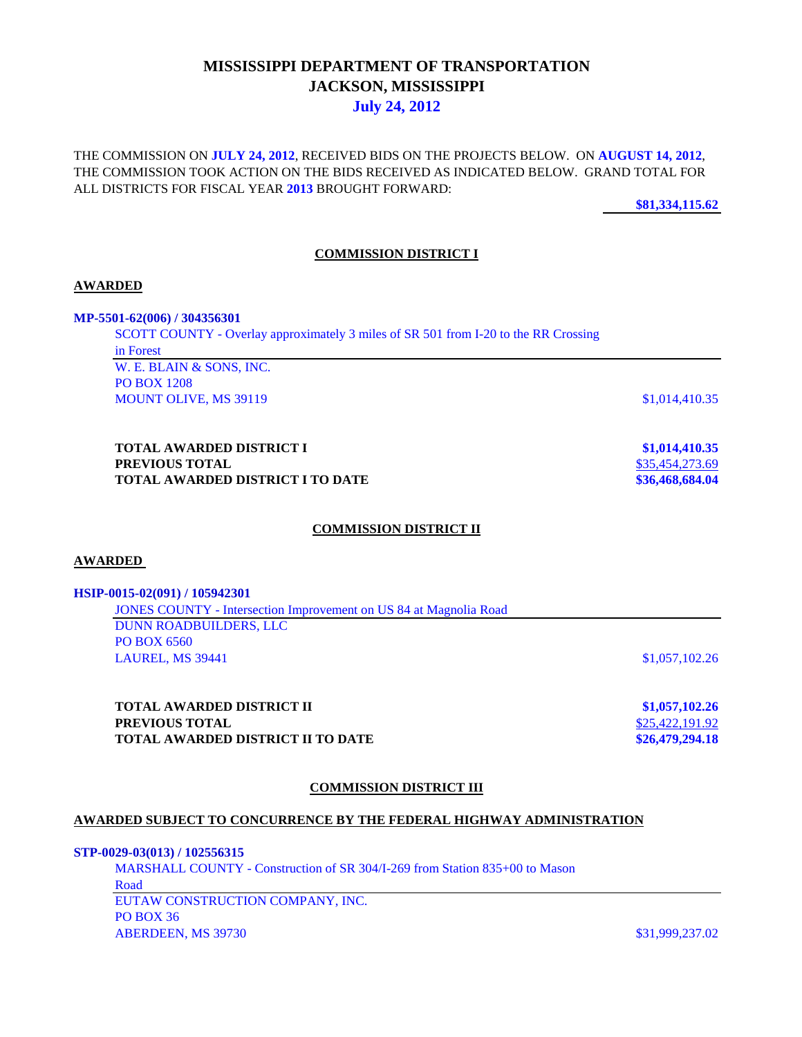# **MISSISSIPPI DEPARTMENT OF TRANSPORTATION JACKSON, MISSISSIPPI July 24, 2012**

THE COMMISSION ON **JULY 24, 2012**, RECEIVED BIDS ON THE PROJECTS BELOW. ON **AUGUST 14, 2012**, THE COMMISSION TOOK ACTION ON THE BIDS RECEIVED AS INDICATED BELOW. GRAND TOTAL FOR ALL DISTRICTS FOR FISCAL YEAR **2013** BROUGHT FORWARD:

**\$81,334,115.62**

## **COMMISSION DISTRICT I**

### **AWARDED**

**MP-5501-62(006) / 304356301**

SCOTT COUNTY - Overlay approximately 3 miles of SR 501 from I-20 to the RR Crossing in Forest

W. E. BLAIN & SONS, INC. PO BOX 1208 MOUNT OLIVE, MS 39119 \$1,014,410.35

**TOTAL AWARDED DISTRICT I \$1,014,410.35 PREVIOUS TOTAL** \$35,454,273.69 **TOTAL AWARDED DISTRICT I TO DATE \$36,468,684.04**

## **COMMISSION DISTRICT II**

#### **AWARDED**

#### **HSIP-0015-02(091) / 105942301**

JONES COUNTY - Intersection Improvement on US 84 at Magnolia Road DUNN ROADBUILDERS, LLC PO BOX 6560 LAUREL, MS 39441 \$1,057,102.26

**TOTAL AWARDED DISTRICT II \$1,057,102.26 PREVIOUS TOTAL** \$25,422,191.92 **TOTAL AWARDED DISTRICT II TO DATE \$26,479,294.18**

#### **COMMISSION DISTRICT III**

## **AWARDED SUBJECT TO CONCURRENCE BY THE FEDERAL HIGHWAY ADMINISTRATION**

#### **STP-0029-03(013) / 102556315**

MARSHALL COUNTY - Construction of SR 304/I-269 from Station 835+00 to Mason Road EUTAW CONSTRUCTION COMPANY, INC. PO BOX 36

ABERDEEN, MS 39730 \$31,999,237.02